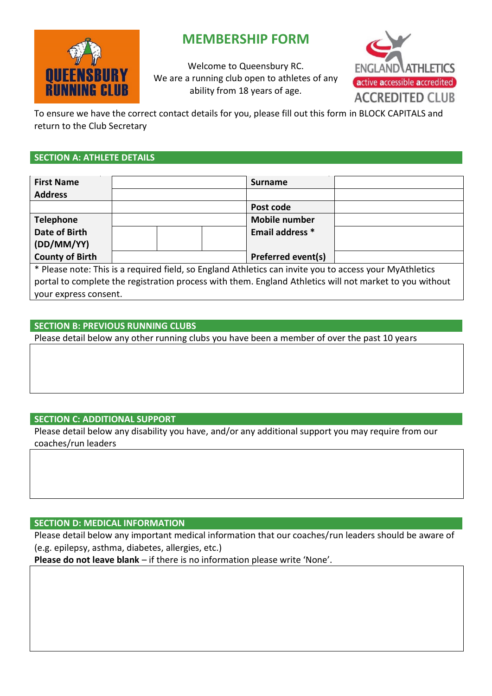

# **MEMBERSHIP FORM**

Welcome to Queensbury RC. We are a running club open to athletes of any ability from 18 years of age.



To ensure we have the correct contact details for you, please fill out this form in BLOCK CAPITALS and return to the Club Secretary

## **SECTION A: ATHLETE DETAILS**

| <b>First Name</b>                                                                                       |  |  |                      | <b>Surname</b>            |  |
|---------------------------------------------------------------------------------------------------------|--|--|----------------------|---------------------------|--|
| <b>Address</b>                                                                                          |  |  |                      |                           |  |
|                                                                                                         |  |  |                      | Post code                 |  |
| <b>Telephone</b>                                                                                        |  |  | <b>Mobile number</b> |                           |  |
| Date of Birth                                                                                           |  |  |                      | Email address *           |  |
| (DD/MM/YY)                                                                                              |  |  |                      |                           |  |
| <b>County of Birth</b>                                                                                  |  |  |                      | <b>Preferred event(s)</b> |  |
| * Please note: This is a required field, so England Athletics can invite you to access your MyAthletics |  |  |                      |                           |  |
| portal to complete the registration process with them. England Athletics will not market to you without |  |  |                      |                           |  |

your express consent.

## **SECTION B: PREVIOUS RUNNING CLUBS**

Please detail below any other running clubs you have been a member of over the past 10 years

# **SECTION C: ADDITIONAL SUPPORT**

Please detail below any disability you have, and/or any additional support you may require from our coaches/run leaders

# **SECTION D: MEDICAL INFORMATION**

Please detail below any important medical information that our coaches/run leaders should be aware of (e.g. epilepsy, asthma, diabetes, allergies, etc.)

**Please do not leave blank** – if there is no information please write 'None'.